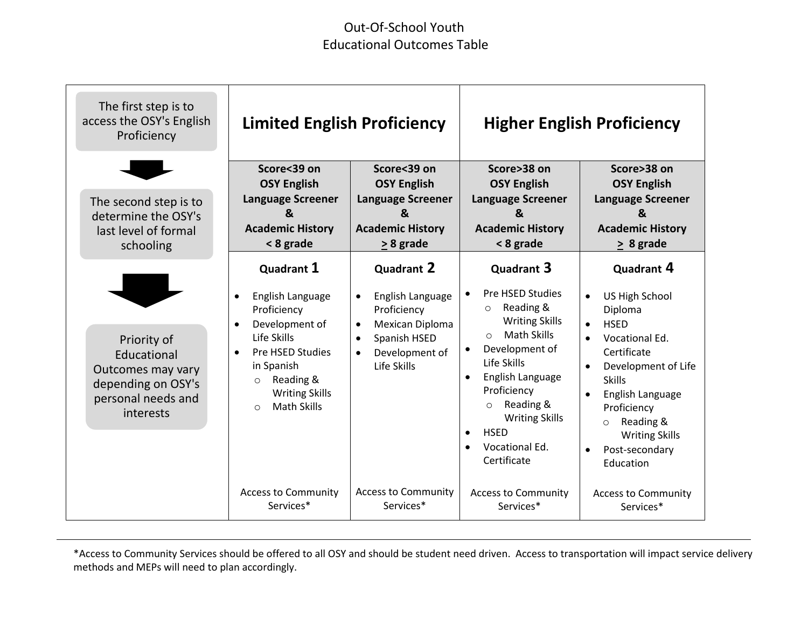## Out-Of-School Youth Educational Outcomes Table

| The first step is to<br>access the OSY's English<br>Proficiency                                          | <b>Limited English Proficiency</b>                                                                                                                                                                                                         |                                                                                                                                                                              |                                                                                                                                                                                                                                                                                                                              | <b>Higher English Proficiency</b>                                                                                                                                                                                                                                                                                   |
|----------------------------------------------------------------------------------------------------------|--------------------------------------------------------------------------------------------------------------------------------------------------------------------------------------------------------------------------------------------|------------------------------------------------------------------------------------------------------------------------------------------------------------------------------|------------------------------------------------------------------------------------------------------------------------------------------------------------------------------------------------------------------------------------------------------------------------------------------------------------------------------|---------------------------------------------------------------------------------------------------------------------------------------------------------------------------------------------------------------------------------------------------------------------------------------------------------------------|
| The second step is to<br>determine the OSY's<br>last level of formal<br>schooling                        | Score<39 on<br><b>OSY English</b><br><b>Language Screener</b><br>&<br><b>Academic History</b><br>< 8 grade                                                                                                                                 | Score<39 on<br><b>OSY English</b><br><b>Language Screener</b><br>&<br><b>Academic History</b><br>$\geq$ 8 grade                                                              | Score>38 on<br><b>OSY English</b><br><b>Language Screener</b><br>&<br><b>Academic History</b><br>< 8 grade                                                                                                                                                                                                                   | Score>38 on<br><b>OSY English</b><br><b>Language Screener</b><br><sub>R</sub><br><b>Academic History</b><br>$\geq 8$ grade                                                                                                                                                                                          |
| Priority of<br>Educational<br>Outcomes may vary<br>depending on OSY's<br>personal needs and<br>interests | Quadrant 1<br>English Language<br>$\bullet$<br>Proficiency<br>Development of<br>$\bullet$<br>Life Skills<br>Pre HSED Studies<br>$\bullet$<br>in Spanish<br>Reading &<br>$\circ$<br><b>Writing Skills</b><br><b>Math Skills</b><br>$\Omega$ | <b>Quadrant 2</b><br>English Language<br>$\bullet$<br>Proficiency<br>Mexican Diploma<br>$\bullet$<br>Spanish HSED<br>$\bullet$<br>Development of<br>$\bullet$<br>Life Skills | Quadrant 3<br>Pre HSED Studies<br>Reading &<br>$\circ$<br><b>Writing Skills</b><br><b>Math Skills</b><br>$\circ$<br>Development of<br>Life Skills<br>English Language<br>$\bullet$<br>Proficiency<br>Reading &<br>$\circ$<br><b>Writing Skills</b><br><b>HSED</b><br>$\bullet$<br>Vocational Ed.<br>$\bullet$<br>Certificate | Quadrant 4<br>US High School<br>$\bullet$<br>Diploma<br><b>HSED</b><br>$\bullet$<br>Vocational Ed.<br>Certificate<br>Development of Life<br>$\bullet$<br><b>Skills</b><br>English Language<br>$\bullet$<br>Proficiency<br>Reading &<br>$\circ$<br><b>Writing Skills</b><br>Post-secondary<br>$\bullet$<br>Education |
|                                                                                                          | <b>Access to Community</b><br>Services*                                                                                                                                                                                                    | <b>Access to Community</b><br>Services*                                                                                                                                      | <b>Access to Community</b><br>Services*                                                                                                                                                                                                                                                                                      | <b>Access to Community</b><br>Services*                                                                                                                                                                                                                                                                             |

\*Access to Community Services should be offered to all OSY and should be student need driven. Access to transportation will impact service delivery methods and MEPs will need to plan accordingly.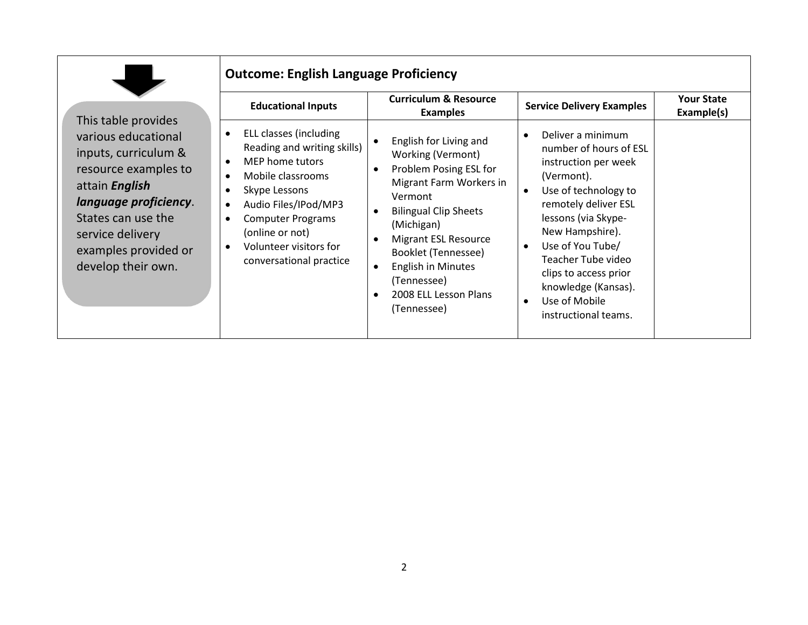| This table provides                                                                                                                                                                                    | <b>Outcome: English Language Proficiency</b><br><b>Educational Inputs</b>                                                                                                                                                                                                                                                             | <b>Curriculum &amp; Resource</b><br><b>Examples</b>                                                                                                                                                                                                                                                                                                                               | <b>Service Delivery Examples</b>                                                                                                                                                                                                                                                                                                                                   | <b>Your State</b><br>Example(s) |
|--------------------------------------------------------------------------------------------------------------------------------------------------------------------------------------------------------|---------------------------------------------------------------------------------------------------------------------------------------------------------------------------------------------------------------------------------------------------------------------------------------------------------------------------------------|-----------------------------------------------------------------------------------------------------------------------------------------------------------------------------------------------------------------------------------------------------------------------------------------------------------------------------------------------------------------------------------|--------------------------------------------------------------------------------------------------------------------------------------------------------------------------------------------------------------------------------------------------------------------------------------------------------------------------------------------------------------------|---------------------------------|
| various educational<br>inputs, curriculum &<br>resource examples to<br>attain English<br>language proficiency.<br>States can use the<br>service delivery<br>examples provided or<br>develop their own. | ELL classes (including<br>$\bullet$<br>Reading and writing skills)<br>MEP home tutors<br>$\bullet$<br>Mobile classrooms<br>$\bullet$<br>Skype Lessons<br>$\bullet$<br>Audio Files/IPod/MP3<br>$\bullet$<br><b>Computer Programs</b><br>$\bullet$<br>(online or not)<br>Volunteer visitors for<br>$\bullet$<br>conversational practice | English for Living and<br>$\bullet$<br>Working (Vermont)<br>Problem Posing ESL for<br>$\bullet$<br>Migrant Farm Workers in<br>Vermont<br><b>Bilingual Clip Sheets</b><br>$\bullet$<br>(Michigan)<br><b>Migrant ESL Resource</b><br>$\bullet$<br>Booklet (Tennessee)<br><b>English in Minutes</b><br>$\bullet$<br>(Tennessee)<br>2008 ELL Lesson Plans<br>$\bullet$<br>(Tennessee) | Deliver a minimum<br>$\bullet$<br>number of hours of ESL<br>instruction per week<br>(Vermont).<br>Use of technology to<br>$\bullet$<br>remotely deliver ESL<br>lessons (via Skype-<br>New Hampshire).<br>Use of You Tube/<br>$\bullet$<br>Teacher Tube video<br>clips to access prior<br>knowledge (Kansas).<br>Use of Mobile<br>$\bullet$<br>instructional teams. |                                 |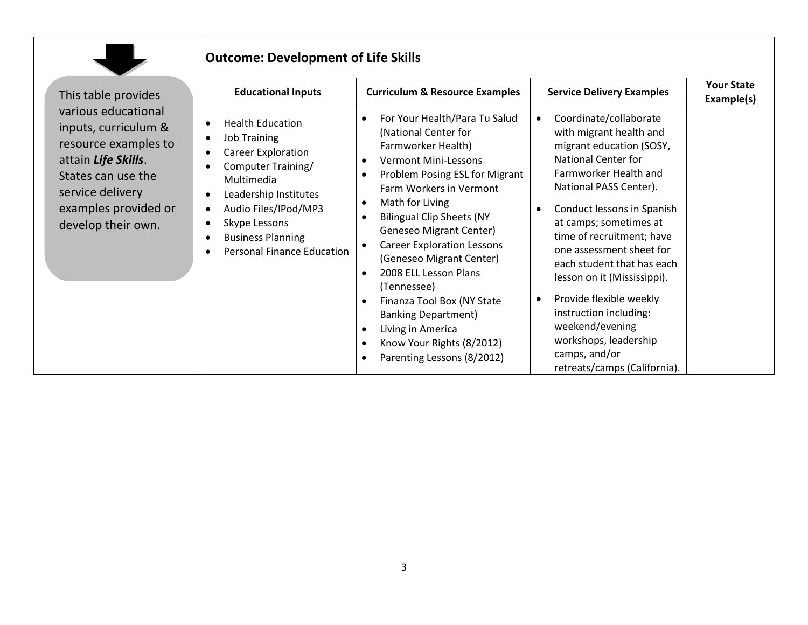

## **Outcome: Development of Life Skills**

| This table provides                                                                                                                                                                | <b>Educational Inputs</b>                                                                                                                                                                                                                                          | <b>Curriculum &amp; Resource Examples</b>                                                                                                                                                                                                                                                                                                                                                                                                                                                                                          | <b>Service Delivery Examples</b>                                                                                                                                                                                                                                                                                                                                                                                                                                                                          | <b>Your State</b><br>Example(s) |
|------------------------------------------------------------------------------------------------------------------------------------------------------------------------------------|--------------------------------------------------------------------------------------------------------------------------------------------------------------------------------------------------------------------------------------------------------------------|------------------------------------------------------------------------------------------------------------------------------------------------------------------------------------------------------------------------------------------------------------------------------------------------------------------------------------------------------------------------------------------------------------------------------------------------------------------------------------------------------------------------------------|-----------------------------------------------------------------------------------------------------------------------------------------------------------------------------------------------------------------------------------------------------------------------------------------------------------------------------------------------------------------------------------------------------------------------------------------------------------------------------------------------------------|---------------------------------|
| various educational<br>inputs, curriculum &<br>resource examples to<br>attain Life Skills.<br>States can use the<br>service delivery<br>examples provided or<br>develop their own. | <b>Health Education</b><br><b>Job Training</b><br>$\bullet$<br>Career Exploration<br>Computer Training/<br>Multimedia<br>Leadership Institutes<br>٠<br>Audio Files/IPod/MP3<br>٠<br>Skype Lessons<br><b>Business Planning</b><br><b>Personal Finance Education</b> | For Your Health/Para Tu Salud<br>(National Center for<br>Farmworker Health)<br><b>Vermont Mini-Lessons</b><br>Problem Posing ESL for Migrant<br>Farm Workers in Vermont<br>Math for Living<br>$\bullet$<br><b>Bilingual Clip Sheets (NY</b><br><b>Geneseo Migrant Center)</b><br><b>Career Exploration Lessons</b><br>(Geneseo Migrant Center)<br>2008 ELL Lesson Plans<br>(Tennessee)<br>Finanza Tool Box (NY State<br><b>Banking Department)</b><br>Living in America<br>Know Your Rights (8/2012)<br>Parenting Lessons (8/2012) | Coordinate/collaborate<br>$\bullet$<br>with migrant health and<br>migrant education (SOSY,<br>National Center for<br>Farmworker Health and<br>National PASS Center).<br>Conduct lessons in Spanish<br>at camps; sometimes at<br>time of recruitment; have<br>one assessment sheet for<br>each student that has each<br>lesson on it (Mississippi).<br>Provide flexible weekly<br>٠<br>instruction including:<br>weekend/evening<br>workshops, leadership<br>camps, and/or<br>retreats/camps (California). |                                 |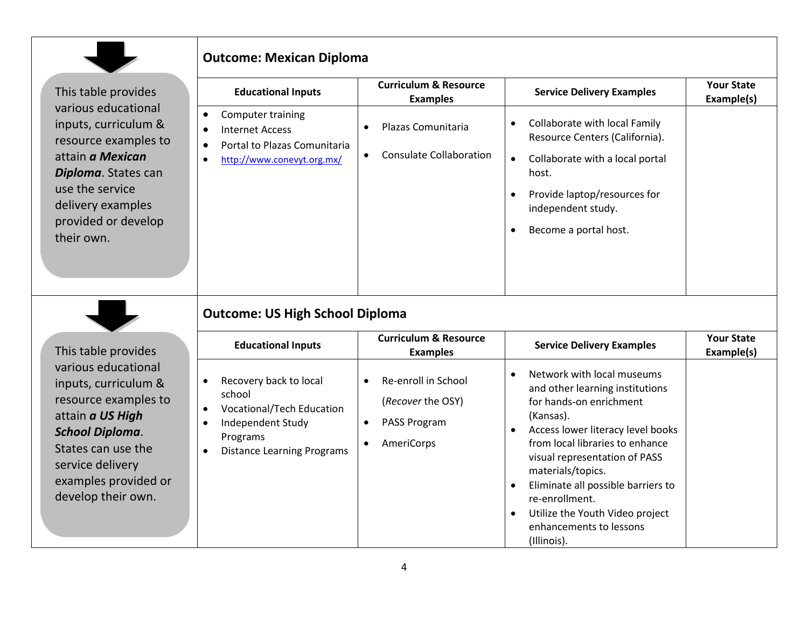|                                                                                                                                                                                                           | <b>Outcome: Mexican Diploma</b>                                                                                                                                                                |                                                                                                               |                                                                                                                                                                                                                                                                                                                                                                                                                              |                                 |
|-----------------------------------------------------------------------------------------------------------------------------------------------------------------------------------------------------------|------------------------------------------------------------------------------------------------------------------------------------------------------------------------------------------------|---------------------------------------------------------------------------------------------------------------|------------------------------------------------------------------------------------------------------------------------------------------------------------------------------------------------------------------------------------------------------------------------------------------------------------------------------------------------------------------------------------------------------------------------------|---------------------------------|
| This table provides                                                                                                                                                                                       | <b>Educational Inputs</b>                                                                                                                                                                      | <b>Curriculum &amp; Resource</b><br><b>Examples</b>                                                           | <b>Service Delivery Examples</b>                                                                                                                                                                                                                                                                                                                                                                                             | <b>Your State</b><br>Example(s) |
| various educational<br>inputs, curriculum &<br>resource examples to<br>attain a Mexican<br>Diploma. States can<br>use the service<br>delivery examples<br>provided or develop<br>their own.               | Computer training<br>$\bullet$<br><b>Internet Access</b><br>$\bullet$<br>Portal to Plazas Comunitaria<br>$\bullet$<br>http://www.conevyt.org.mx/<br>$\bullet$                                  | Plazas Comunitaria<br>$\bullet$<br><b>Consulate Collaboration</b><br>$\bullet$                                | Collaborate with local Family<br>$\bullet$<br>Resource Centers (California).<br>Collaborate with a local portal<br>$\bullet$<br>host.<br>Provide laptop/resources for<br>independent study.<br>Become a portal host.                                                                                                                                                                                                         |                                 |
|                                                                                                                                                                                                           | <b>Outcome: US High School Diploma</b>                                                                                                                                                         |                                                                                                               |                                                                                                                                                                                                                                                                                                                                                                                                                              |                                 |
| This table provides                                                                                                                                                                                       | <b>Educational Inputs</b>                                                                                                                                                                      | <b>Curriculum &amp; Resource</b><br><b>Examples</b>                                                           | <b>Service Delivery Examples</b>                                                                                                                                                                                                                                                                                                                                                                                             | <b>Your State</b><br>Example(s) |
| various educational<br>inputs, curriculum &<br>resource examples to<br>attain a US High<br><b>School Diploma.</b><br>States can use the<br>service delivery<br>examples provided or<br>develop their own. | Recovery back to local<br>$\bullet$<br>school<br><b>Vocational/Tech Education</b><br>$\bullet$<br>Independent Study<br>$\bullet$<br>Programs<br><b>Distance Learning Programs</b><br>$\bullet$ | Re-enroll in School<br>$\bullet$<br>(Recover the OSY)<br>PASS Program<br>$\bullet$<br>AmeriCorps<br>$\bullet$ | Network with local museums<br>$\bullet$<br>and other learning institutions<br>for hands-on enrichment<br>(Kansas).<br>Access lower literacy level books<br>$\bullet$<br>from local libraries to enhance<br>visual representation of PASS<br>materials/topics.<br>Eliminate all possible barriers to<br>$\bullet$<br>re-enrollment.<br>Utilize the Youth Video project<br>$\bullet$<br>enhancements to lessons<br>(Illinois). |                                 |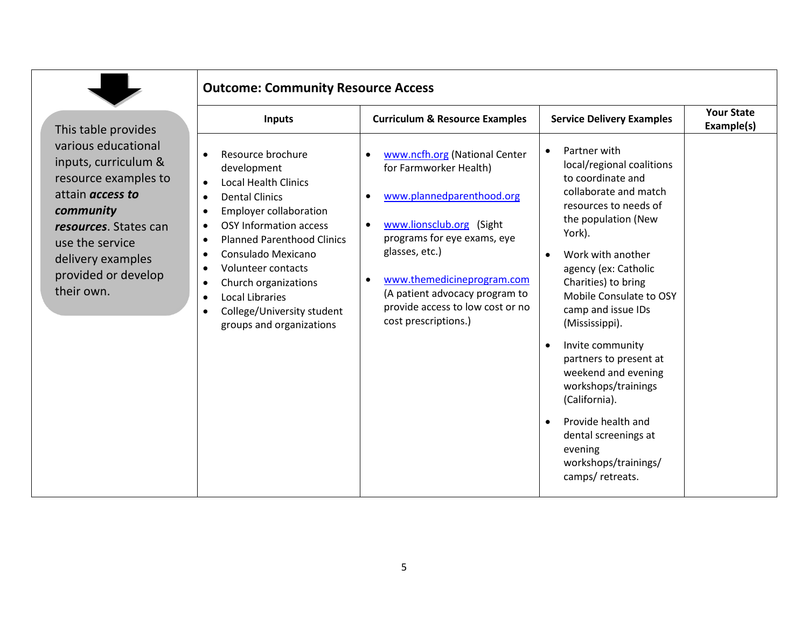|                                                                                                                                                                                                                   | <b>Outcome: Community Resource Access</b>                                                                                                                                                                                                                                                                                                                                                                                                                                                 |                                                                                                                                                                                                                                                                                                                                      |                                                                                                                                                                                                                                                                                                                                                                                                                                                                                                                                                               |                                 |
|-------------------------------------------------------------------------------------------------------------------------------------------------------------------------------------------------------------------|-------------------------------------------------------------------------------------------------------------------------------------------------------------------------------------------------------------------------------------------------------------------------------------------------------------------------------------------------------------------------------------------------------------------------------------------------------------------------------------------|--------------------------------------------------------------------------------------------------------------------------------------------------------------------------------------------------------------------------------------------------------------------------------------------------------------------------------------|---------------------------------------------------------------------------------------------------------------------------------------------------------------------------------------------------------------------------------------------------------------------------------------------------------------------------------------------------------------------------------------------------------------------------------------------------------------------------------------------------------------------------------------------------------------|---------------------------------|
| This table provides                                                                                                                                                                                               | <b>Inputs</b>                                                                                                                                                                                                                                                                                                                                                                                                                                                                             | <b>Curriculum &amp; Resource Examples</b>                                                                                                                                                                                                                                                                                            | <b>Service Delivery Examples</b>                                                                                                                                                                                                                                                                                                                                                                                                                                                                                                                              | <b>Your State</b><br>Example(s) |
| various educational<br>inputs, curriculum &<br>resource examples to<br>attain <i>access to</i><br>community<br>resources. States can<br>use the service<br>delivery examples<br>provided or develop<br>their own. | Resource brochure<br>$\bullet$<br>development<br><b>Local Health Clinics</b><br>$\bullet$<br><b>Dental Clinics</b><br>$\bullet$<br><b>Employer collaboration</b><br>$\bullet$<br><b>OSY Information access</b><br>$\bullet$<br><b>Planned Parenthood Clinics</b><br>$\bullet$<br>Consulado Mexicano<br>$\bullet$<br>Volunteer contacts<br>Church organizations<br>$\bullet$<br><b>Local Libraries</b><br>$\bullet$<br>College/University student<br>$\bullet$<br>groups and organizations | www.ncfh.org (National Center<br>for Farmworker Health)<br>www.plannedparenthood.org<br>$\bullet$<br>www.lionsclub.org (Sight<br>$\bullet$<br>programs for eye exams, eye<br>glasses, etc.)<br>www.themedicineprogram.com<br>$\bullet$<br>(A patient advocacy program to<br>provide access to low cost or no<br>cost prescriptions.) | Partner with<br>$\bullet$<br>local/regional coalitions<br>to coordinate and<br>collaborate and match<br>resources to needs of<br>the population (New<br>York).<br>Work with another<br>$\bullet$<br>agency (ex: Catholic<br>Charities) to bring<br>Mobile Consulate to OSY<br>camp and issue IDs<br>(Mississippi).<br>Invite community<br>$\bullet$<br>partners to present at<br>weekend and evening<br>workshops/trainings<br>(California).<br>Provide health and<br>$\bullet$<br>dental screenings at<br>evening<br>workshops/trainings/<br>camps/retreats. |                                 |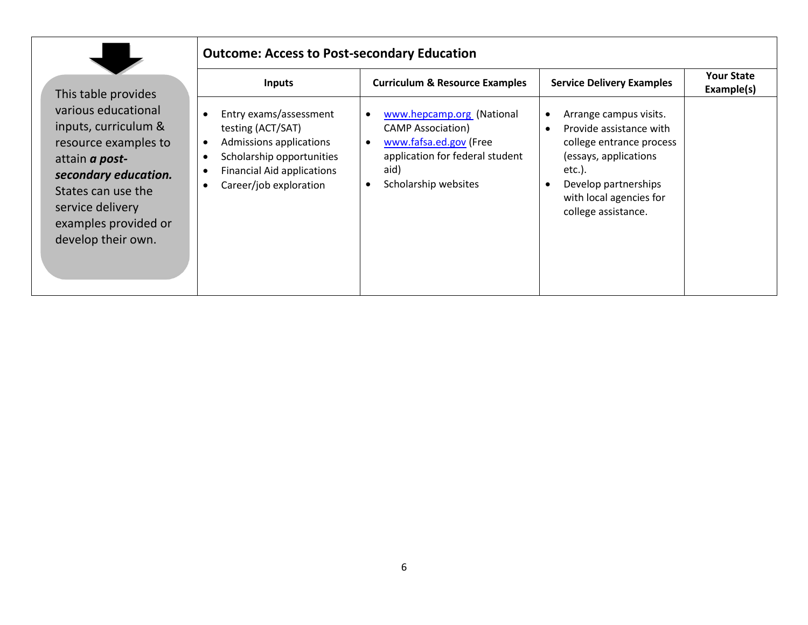|--|

## **Outcome: Access to Post-secondary Education**

This table provi various educati inputs, curricul resource exam attain *a post***secondary education** States can use service delivery examples provi develop their o

| Inputs                                                                                                                                                                                                           | <b>Curriculum &amp; Resource Examples</b>                                                                                                          | <b>Service Delivery Examples</b>                                                                                                                                                                        | <b>Your State</b><br>Example(s) |
|------------------------------------------------------------------------------------------------------------------------------------------------------------------------------------------------------------------|----------------------------------------------------------------------------------------------------------------------------------------------------|---------------------------------------------------------------------------------------------------------------------------------------------------------------------------------------------------------|---------------------------------|
| Entry exams/assessment<br>testing (ACT/SAT)<br>Admissions applications<br>ples to<br>$\bullet$<br>Scholarship opportunities<br><b>Financial Aid applications</b><br>cation.<br>Career/job exploration<br>ided or | www.hepcamp.org (National<br><b>CAMP Association)</b><br>www.fafsa.ed.gov (Free<br>application for federal student<br>aid)<br>Scholarship websites | Arrange campus visits.<br>Provide assistance with<br>$\bullet$<br>college entrance process<br>(essays, applications<br>etc.).<br>Develop partnerships<br>with local agencies for<br>college assistance. |                                 |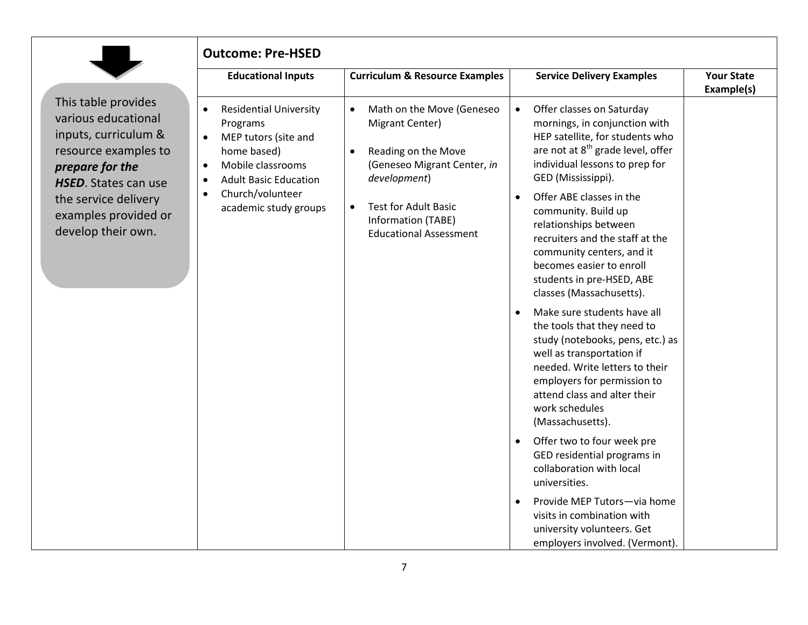| This table provides  |
|----------------------|
| various educational  |
| inputs, curriculum & |
| resource examples to |
| prepare for the      |
| HSED. States can use |
| the service delivery |
| examples provided or |
| develop their own.   |
|                      |

| <b>Outcome: Pre-HSED</b>                                                                                                                                        |                                                                                                                                              |                                                                                                                                                                                                                                                                                 |                                 |
|-----------------------------------------------------------------------------------------------------------------------------------------------------------------|----------------------------------------------------------------------------------------------------------------------------------------------|---------------------------------------------------------------------------------------------------------------------------------------------------------------------------------------------------------------------------------------------------------------------------------|---------------------------------|
| <b>Educational Inputs</b>                                                                                                                                       | <b>Curriculum &amp; Resource Examples</b>                                                                                                    | <b>Service Delivery Examples</b>                                                                                                                                                                                                                                                | <b>Your State</b><br>Example(s) |
| <b>Residential University</b><br>$\bullet$<br>Programs<br>MEP tutors (site and<br>home based)<br>Mobile classrooms<br><b>Adult Basic Education</b><br>$\bullet$ | Math on the Move (Geneseo<br>$\bullet$<br>Migrant Center)<br>Reading on the Move<br>$\bullet$<br>(Geneseo Migrant Center, in<br>development) | Offer classes on Saturday<br>$\bullet$<br>mornings, in conjunction with<br>HEP satellite, for students who<br>are not at 8 <sup>th</sup> grade level, offer<br>individual lessons to prep for<br>GED (Mississippi).                                                             |                                 |
| Church/volunteer<br>٠<br>academic study groups                                                                                                                  | <b>Test for Adult Basic</b><br>$\bullet$<br>Information (TABE)<br><b>Educational Assessment</b>                                              | Offer ABE classes in the<br>$\bullet$<br>community. Build up<br>relationships between<br>recruiters and the staff at the<br>community centers, and it<br>becomes easier to enroll<br>students in pre-HSED, ABE<br>classes (Massachusetts).                                      |                                 |
|                                                                                                                                                                 |                                                                                                                                              | Make sure students have all<br>$\bullet$<br>the tools that they need to<br>study (notebooks, pens, etc.) as<br>well as transportation if<br>needed. Write letters to their<br>employers for permission to<br>attend class and alter their<br>work schedules<br>(Massachusetts). |                                 |
|                                                                                                                                                                 |                                                                                                                                              | Offer two to four week pre<br>$\bullet$<br>GED residential programs in<br>collaboration with local<br>universities.                                                                                                                                                             |                                 |
|                                                                                                                                                                 |                                                                                                                                              | Provide MEP Tutors-via home<br>$\bullet$<br>visits in combination with<br>university volunteers. Get<br>employers involved. (Vermont).                                                                                                                                          |                                 |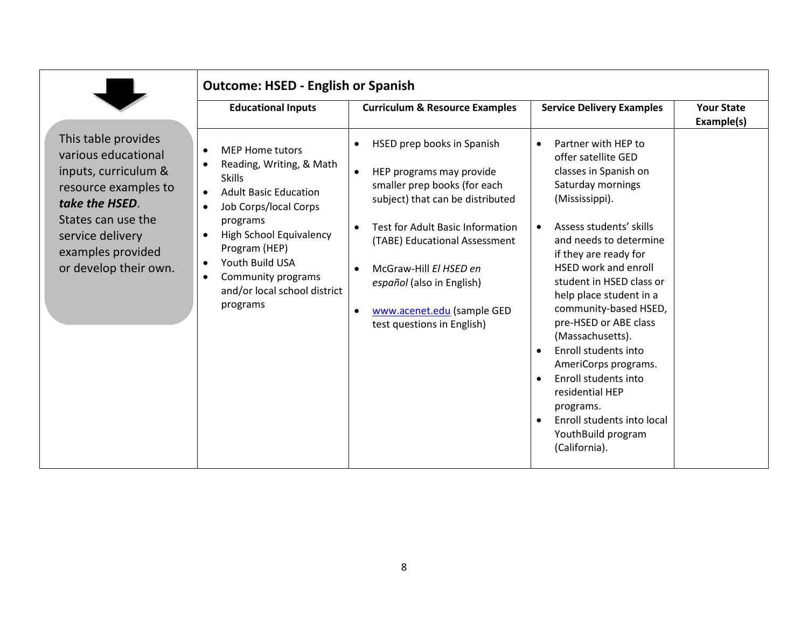|                                                                                                                                                                                                      | <b>Outcome: HSED - English or Spanish</b>                                                                                                                                                                                                                                                                        |                                                                                                                                                                                                                                                                                                                                                                                            |                                                                                                                                                                                                                                                                                                                                                                                                                                                                                                                                   |                                 |
|------------------------------------------------------------------------------------------------------------------------------------------------------------------------------------------------------|------------------------------------------------------------------------------------------------------------------------------------------------------------------------------------------------------------------------------------------------------------------------------------------------------------------|--------------------------------------------------------------------------------------------------------------------------------------------------------------------------------------------------------------------------------------------------------------------------------------------------------------------------------------------------------------------------------------------|-----------------------------------------------------------------------------------------------------------------------------------------------------------------------------------------------------------------------------------------------------------------------------------------------------------------------------------------------------------------------------------------------------------------------------------------------------------------------------------------------------------------------------------|---------------------------------|
|                                                                                                                                                                                                      | <b>Educational Inputs</b>                                                                                                                                                                                                                                                                                        | <b>Curriculum &amp; Resource Examples</b>                                                                                                                                                                                                                                                                                                                                                  | <b>Service Delivery Examples</b>                                                                                                                                                                                                                                                                                                                                                                                                                                                                                                  | <b>Your State</b><br>Example(s) |
| This table provides<br>various educational<br>inputs, curriculum &<br>resource examples to<br>take the HSED.<br>States can use the<br>service delivery<br>examples provided<br>or develop their own. | <b>MEP Home tutors</b><br>Reading, Writing, & Math<br><b>Skills</b><br><b>Adult Basic Education</b><br>$\bullet$<br>Job Corps/local Corps<br>programs<br>High School Equivalency<br>Program (HEP)<br>Youth Build USA<br>$\bullet$<br>Community programs<br>$\bullet$<br>and/or local school district<br>programs | HSED prep books in Spanish<br>$\bullet$<br>HEP programs may provide<br>$\bullet$<br>smaller prep books (for each<br>subject) that can be distributed<br><b>Test for Adult Basic Information</b><br>$\bullet$<br>(TABE) Educational Assessment<br>McGraw-Hill El HSED en<br>$\bullet$<br>español (also in English)<br>www.acenet.edu (sample GED<br>$\bullet$<br>test questions in English) | Partner with HEP to<br>offer satellite GED<br>classes in Spanish on<br>Saturday mornings<br>(Mississippi).<br>Assess students' skills<br>and needs to determine<br>if they are ready for<br><b>HSED work and enroll</b><br>student in HSED class or<br>help place student in a<br>community-based HSED,<br>pre-HSED or ABE class<br>(Massachusetts).<br>Enroll students into<br>AmeriCorps programs.<br>Enroll students into<br>residential HEP<br>programs.<br>Enroll students into local<br>YouthBuild program<br>(California). |                                 |